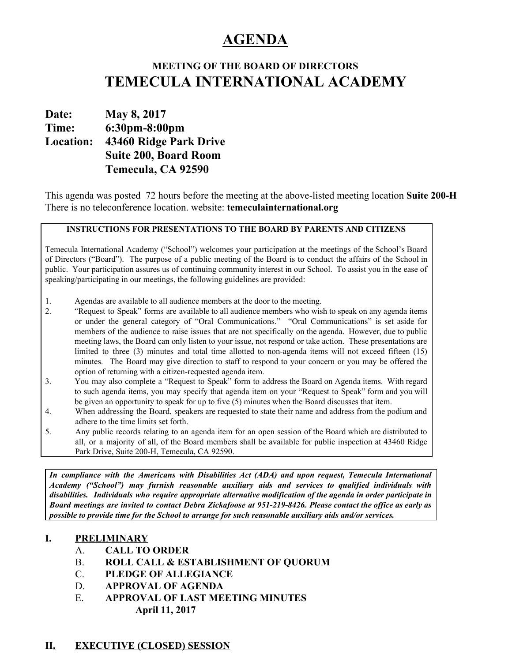# **AGENDA**

## **MEETING OF THE BOARD OF DIRECTORS TEMECULA INTERNATIONAL ACADEMY**

**Date: May 8, 2017 Time: 6:30pm-8:00pm Location: 43460 Ridge Park Drive Suite 200, Board Room Temecula, CA 92590**

This agenda was posted 72 hours before the meeting at the above-listed meeting location **Suite 200-H** There is no teleconference location. website: **temeculainternational.org**

#### **INSTRUCTIONS FOR PRESENTATIONS TO THE BOARD BY PARENTS AND CITIZENS**

Temecula International Academy ("School") welcomes your participation at the meetings of the School's Board of Directors ("Board"). The purpose of a public meeting of the Board is to conduct the affairs of the School in public. Your participation assures us of continuing community interest in our School. To assist you in the ease of speaking/participating in our meetings, the following guidelines are provided:

- 1. Agendas are available to all audience members at the door to the meeting.
- 2. "Request to Speak" forms are available to all audience members who wish to speak on any agenda items or under the general category of "Oral Communications." "Oral Communications" is set aside for members of the audience to raise issues that are not specifically on the agenda. However, due to public meeting laws, the Board can only listen to your issue, not respond or take action. These presentations are limited to three (3) minutes and total time allotted to non-agenda items will not exceed fifteen (15) minutes. The Board may give direction to staff to respond to your concern or you may be offered the option of returning with a citizen-requested agenda item.
- 3. You may also complete a "Request to Speak" form to address the Board on Agenda items. With regard to such agenda items, you may specify that agenda item on your "Request to Speak" form and you will be given an opportunity to speak for up to five (5) minutes when the Board discusses that item.
- 4. When addressing the Board, speakers are requested to state their name and address from the podium and adhere to the time limits set forth.
- 5. Any public records relating to an agenda item for an open session of the Board which are distributed to all, or a majority of all, of the Board members shall be available for public inspection at 43460 Ridge Park Drive, Suite 200-H, Temecula, CA 92590.

*In compliance with the Americans with Disabilities Act (ADA) and upon request, Temecula International Academy ("School") may furnish reasonable auxiliary aids and services to qualified individuals with disabilities. Individuals who require appropriate alternative modification of the agenda in order participate in* Board meetings are invited to contact Debra Zickafoose at 951-219-8426. Please contact the office as early as *possible to provide time for the School to arrange for such reasonable auxiliary aids and/or services.*

#### **I. PRELIMINARY**

- A. **CALL TO ORDER**
- B. **ROLL CALL & ESTABLISHMENT OF QUORUM**
- C. **PLEDGE OF ALLEGIANCE**
- D. **APPROVAL OF AGENDA**
- E. **APPROVAL OF LAST MEETING MINUTES April 11, 2017**

## **II. EXECUTIVE (CLOSED) SESSION**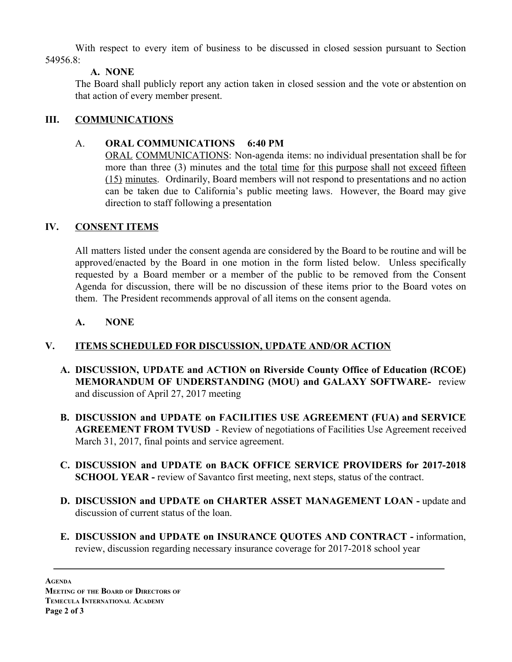With respect to every item of business to be discussed in closed session pursuant to Section 54956 $8<sup>1</sup>$ 

#### **A. NONE**

The Board shall publicly report any action taken in closed session and the vote or abstention on that action of every member present.

## **III. COMMUNICATIONS**

#### A. **ORAL COMMUNICATIONS 6:40 PM**

ORAL COMMUNICATIONS: Non-agenda items: no individual presentation shall be for more than three (3) minutes and the total time for this purpose shall not exceed fifteen (15) minutes. Ordinarily, Board members will not respond to presentations and no action can be taken due to California's public meeting laws. However, the Board may give direction to staff following a presentation

#### **IV. CONSENT ITEMS**

All matters listed under the consent agenda are considered by the Board to be routine and will be approved/enacted by the Board in one motion in the form listed below. Unless specifically requested by a Board member or a member of the public to be removed from the Consent Agenda for discussion, there will be no discussion of these items prior to the Board votes on them. The President recommends approval of all items on the consent agenda.

#### **A. NONE**

## **V. ITEMS SCHEDULED FOR DISCUSSION, UPDATE AND/OR ACTION**

- **A. DISCUSSION, UPDATE and ACTION on Riverside County Office of Education (RCOE) MEMORANDUM OF UNDERSTANDING (MOU) and GALAXY SOFTWARE-** review and discussion of April 27, 2017 meeting
- **B. DISCUSSION and UPDATE on FACILITIES USE AGREEMENT (FUA) and SERVICE AGREEMENT FROM TVUSD** - Review of negotiations of Facilities Use Agreement received March 31, 2017, final points and service agreement.
- **C. DISCUSSION and UPDATE on BACK OFFICE SERVICE PROVIDERS for 2017-2018 SCHOOL YEAR -** review of Savantco first meeting, next steps, status of the contract.
- **D. DISCUSSION and UPDATE on CHARTER ASSET MANAGEMENT LOAN -** update and discussion of current status of the loan.
- **E. DISCUSSION and UPDATE on INSURANCE QUOTES AND CONTRACT -** information, review, discussion regarding necessary insurance coverage for 2017-2018 school year